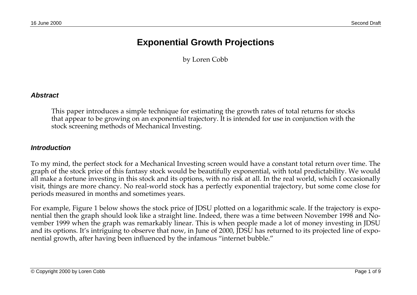# **Exponential Growth Projections**

by Loren Cobb

### **Abstract**

This paper introduces a simple technique for estimating the growth rates of total returns for stocks that appear to be growing on an exponential trajectory. It is intended for use in conjunction with the stock screening methods of Mechanical Investing.

#### **Introduction**

To my mind, the perfect stock for a Mechanical Investing screen would have a constant total return over time. The graph of the stock price of this fantasy stock would be beautifully exponential, with total predictability. We would all make a fortune investing in this stock and its options, with no risk at all. In the real world, which I occasionally visit, things are more chancy. No real-world stock has a perfectly exponential trajectory, but some come close for periods measured in months and sometimes years.

For example, Figure 1 below shows the stock price of JDSU plotted on a logarithmic scale. If the trajectory is exponential then the graph should look like a straight line. Indeed, there was a time between November 1998 and November 1999 when the graph was remarkably linear. This is when people made a lot of money investing in JDSU and its options. It's intriguing to observe that now, in June of 2000, JDSU has returned to its projected line of exponential growth, after having been influenced by the infamous "internet bubble."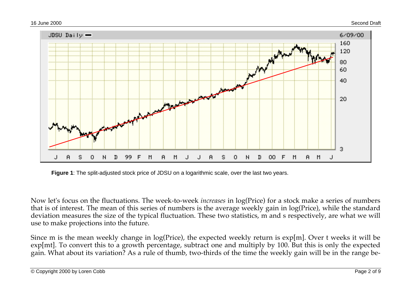

**Figure 1**: The split-adjusted stock price of JDSU on a logarithmic scale, over the last two years.

Now let's focus on the fluctuations. The week-to-week *increases* in log(Price) for a stock make a series of numbers that is of interest. The mean of this series of numbers is the average weekly gain in log(Price), while the standard deviation measures the size of the typical fluctuation. These two statistics, m and s respectively, are what we will use to make projections into the future.

Since m is the mean weekly change in log(Price), the expected weekly return is exp[m]. Over t weeks it will be exp[mt]. To convert this to a growth percentage, subtract one and multiply by 100. But this is only the expected gain. What about its variation? As a rule of thumb, two-thirds of the time the weekly gain will be in the range be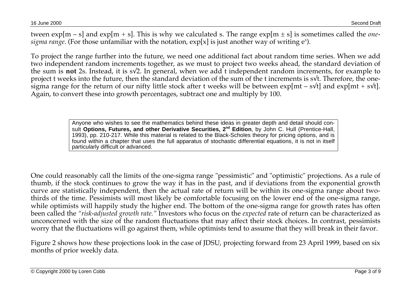tween exp[m – s] and exp[m + s]. This is why we calculated s. The range exp[m ± s] is sometimes called the *onesigma range*. (For those unfamiliar with the notation,  $exp[x]$  is just another way of writing  $e^x$ ).

To project the range further into the future, we need one additional fact about random time series. When we add two independent random increments together, as we must to project two weeks ahead, the standard deviation of the sum is **not** 2s. Instead, it is s√2. In general, when we add t independent random increments, for example to project t weeks into the future, then the standard deviation of the sum of the t increments is s√t. Therefore, the onesigma range for the return of our nifty little stock after t weeks will be between  $exp[mt - s/t]$  and  $exp[mt + s/t]$ . Again, to convert these into growth percentages, subtract one and multiply by 100.

> Anyone who wishes to see the mathematics behind these ideas in greater depth and detail should consult **Options, Futures, and other Derivative Securities, 2nd Edition**, by John C. Hull (Prentice-Hall, 1993), pp. 210-217. While this material is related to the Black-Scholes theory for pricing options, and is found within a chapter that uses the full apparatus of stochastic differential equations, it is not in itself particularly difficult or advanced.

One could reasonably call the limits of the one-sigma range "pessimistic" and "optimistic" projections. As a rule of thumb, if the stock continues to grow the way it has in the past, and if deviations from the exponential growth curve are statistically independent, then the actual rate of return will be within its one-sigma range about twothirds of the time. Pessimists will most likely be comfortable focusing on the lower end of the one-sigma range, while optimists will happily study the higher end. The bottom of the one-sigma range for growth rates has often been called the *"risk-adjusted growth rate."* Investors who focus on the *expected* rate of return can be characterized as unconcerned with the size of the random fluctuations that may affect their stock choices. In contrast, pessimists worry that the fluctuations will go against them, while optimists tend to assume that they will break in their favor.

Figure 2 shows how these projections look in the case of JDSU, projecting forward from 23 April 1999, based on six months of prior weekly data.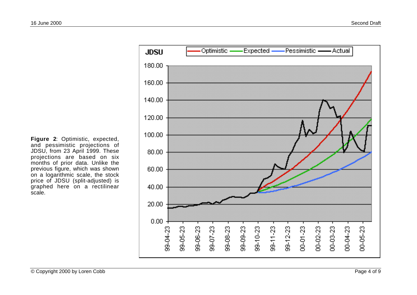

**Figure 2**: Optimistic, expected, and pessimistic projections of JDSU, from 23 April 1999. These projections are based on six months of prior data. Unlike the previous figure, which was shown on a logarithmic scale, the stock price of JDSU (split-adjusted) is graphed here on a rectilinear scale.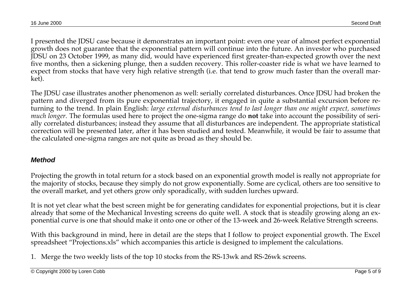I presented the JDSU case because it demonstrates an important point: even one year of almost perfect exponential growth does not guarantee that the exponential pattern will continue into the future. An investor who purchased JDSU on 23 October 1999, as many did, would have experienced first greater-than-expected growth over the next five months, then a sickening plunge, then a sudden recovery. This roller-coaster ride is what we have learned to expect from stocks that have very high relative strength (i.e. that tend to grow much faster than the overall market).

The JDSU case illustrates another phenomenon as well: serially correlated disturbances. Once JDSU had broken the pattern and diverged from its pure exponential trajectory, it engaged in quite a substantial excursion before returning to the trend. In plain English: *large external disturbances tend to last longer than one might expect, sometimes much longer.* The formulas used here to project the one-sigma range do **not** take into account the possibility of serially correlated disturbances; instead they assume that all disturbances are independent. The appropriate statistical correction will be presented later, after it has been studied and tested. Meanwhile, it would be fair to assume that the calculated one-sigma ranges are not quite as broad as they should be.

## **Method**

Projecting the growth in total return for a stock based on an exponential growth model is really not appropriate for the majority of stocks, because they simply do not grow exponentially. Some are cyclical, others are too sensitive to the overall market, and yet others grow only sporadically, with sudden lurches upward.

It is not yet clear what the best screen might be for generating candidates for exponential projections, but it is clear already that some of the Mechanical Investing screens do quite well. A stock that is steadily growing along an exponential curve is one that should make it onto one or other of the 13-week and 26-week Relative Strength screens.

With this background in mind, here in detail are the steps that I follow to project exponential growth. The Excel spreadsheet "Projections.xls" which accompanies this article is designed to implement the calculations.

1. Merge the two weekly lists of the top 10 stocks from the RS-13wk and RS-26wk screens.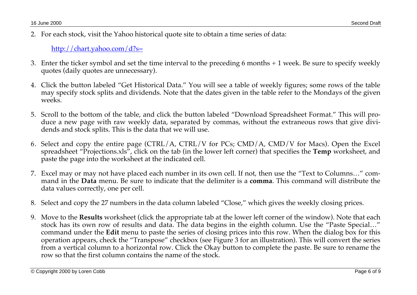2. For each stock, visit the Yahoo historical quote site to obtain a time series of data:

<http://chart.yahoo.com/d?s=>

- 3. Enter the ticker symbol and set the time interval to the preceding 6 months + 1 week. Be sure to specify weekly quotes (daily quotes are unnecessary).
- 4. Click the button labeled "Get Historical Data." You will see a table of weekly figures; some rows of the table may specify stock splits and dividends. Note that the dates given in the table refer to the Mondays of the given weeks.
- 5. Scroll to the bottom of the table, and click the button labeled "Download Spreadsheet Format." This will produce a new page with raw weekly data, separated by commas, without the extraneous rows that give dividends and stock splits. This is the data that we will use.
- 6. Select and copy the entire page (CTRL/A, CTRL/V for PCs; CMD/A, CMD/V for Macs). Open the Excel spreadsheet "Projections.xls", click on the tab (in the lower left corner) that specifies the **Temp** worksheet, and paste the page into the worksheet at the indicated cell.
- 7. Excel may or may not have placed each number in its own cell. If not, then use the "Text to Columns…" command in the **Data** menu. Be sure to indicate that the delimiter is a **comma**. This command will distribute the data values correctly, one per cell.
- 8. Select and copy the 27 numbers in the data column labeled "Close," which gives the weekly closing prices.
- 9. Move to the **Results** worksheet (click the appropriate tab at the lower left corner of the window). Note that each stock has its own row of results and data. The data begins in the eighth column. Use the "Paste Special…" command under the **Edit** menu to paste the series of closing prices into this row. When the dialog box for this operation appears, check the "Transpose" checkbox (see Figure 3 for an illustration). This will convert the series from a vertical column to a horizontal row. Click the Okay button to complete the paste. Be sure to rename the row so that the first column contains the name of the stock.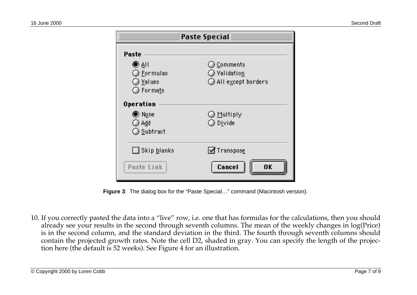| Paste Special      |                      |  |  |  |  |  |  |  |
|--------------------|----------------------|--|--|--|--|--|--|--|
| Paste              |                      |  |  |  |  |  |  |  |
| ◉ ≙⊞               | ◯ Comments           |  |  |  |  |  |  |  |
| ◯ <u>F</u> ormulas | ◯ Yalidatio <u>n</u> |  |  |  |  |  |  |  |
| O Yalues           | All except borders   |  |  |  |  |  |  |  |
| ◯ Formats          |                      |  |  |  |  |  |  |  |
| <b>Operation</b>   |                      |  |  |  |  |  |  |  |
| $\bullet$ None     | ◯ <u>M</u> ultiply   |  |  |  |  |  |  |  |
| ○ Add              | ◯ Divide             |  |  |  |  |  |  |  |
| ◯ Subtract         |                      |  |  |  |  |  |  |  |
| $\Box$ Skip blanks | <b>M</b> Transpose   |  |  |  |  |  |  |  |
| Paste Link         | Cancel<br>0K         |  |  |  |  |  |  |  |

**Figure 3**: The dialog box for the "Paste Special…" command (Macintosh version).

10. If you correctly pasted the data into a "live" row, i.e. one that has formulas for the calculations, then you should already see your results in the second through seventh columns. The mean of the weekly changes in log(Price) is in the second column, and the standard deviation in the third. The fourth through seventh columns should contain the projected growth rates. Note the cell D2, shaded in gray. You can specify the length of the projection here (the default is 52 weeks). See Figure 4 for an illustration.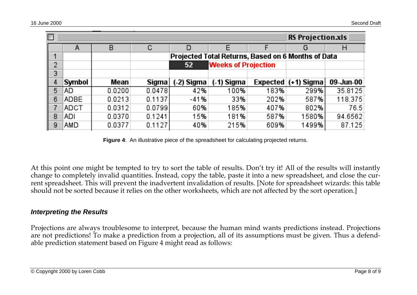| RS Projection xls $\equiv$ |        |        |        |                                                    |            |      |                     |           |  |  |
|----------------------------|--------|--------|--------|----------------------------------------------------|------------|------|---------------------|-----------|--|--|
|                            | А      | В      | С      |                                                    |            |      | G                   |           |  |  |
|                            |        |        |        | Projected Total Returns, Based on 6 Months of Data |            |      |                     |           |  |  |
| 2                          |        |        |        | <b>Weeks of Projection</b><br>52                   |            |      |                     |           |  |  |
| 3                          |        |        |        |                                                    |            |      |                     |           |  |  |
| 4                          | Symbol | Mean   |        | Sigma (-2) Sigma                                   | (-1) Sigma |      | Expected (+1) Sigma | 09-Jun-00 |  |  |
| 5                          | AD.    | 0.0200 | 0.0478 | 42%                                                | 100%       | 183% | 299%                | 35.8125   |  |  |
| 6                          | ADBE   | 0.0213 | 0.1137 | -41%                                               | 33%        | 202% | 587%                | 118.375   |  |  |
|                            | ADCT   | 0.0312 | 0.0799 | 60%                                                | 185%       | 407% | 802%                | 76.5      |  |  |
| 8                          | ADI    | 0.0370 | 0.1241 | 15%                                                | 181%       | 587% | 1580%               | 94.6562   |  |  |
| 9                          | AMD    | 0.0377 | 0.1127 | 40%                                                | 215%       | 609% | 1499%               | 87.125    |  |  |

**Figure 4**: An illustrative piece of the spreadsheet for calculating projected returns.

At this point one might be tempted to try to sort the table of results. Don't try it! All of the results will instantly change to completely invalid quantities. Instead, copy the table, paste it into a new spreadsheet, and close the current spreadsheet. This will prevent the inadvertent invalidation of results. [Note for spreadsheet wizards: this table should not be sorted because it relies on the other worksheets, which are not affected by the sort operation.]

## **Interpreting the Results**

Projections are always troublesome to interpret, because the human mind wants predictions instead. Projections are not predictions! To make a prediction from a projection, all of its assumptions must be given. Thus a defendable prediction statement based on Figure 4 might read as follows: